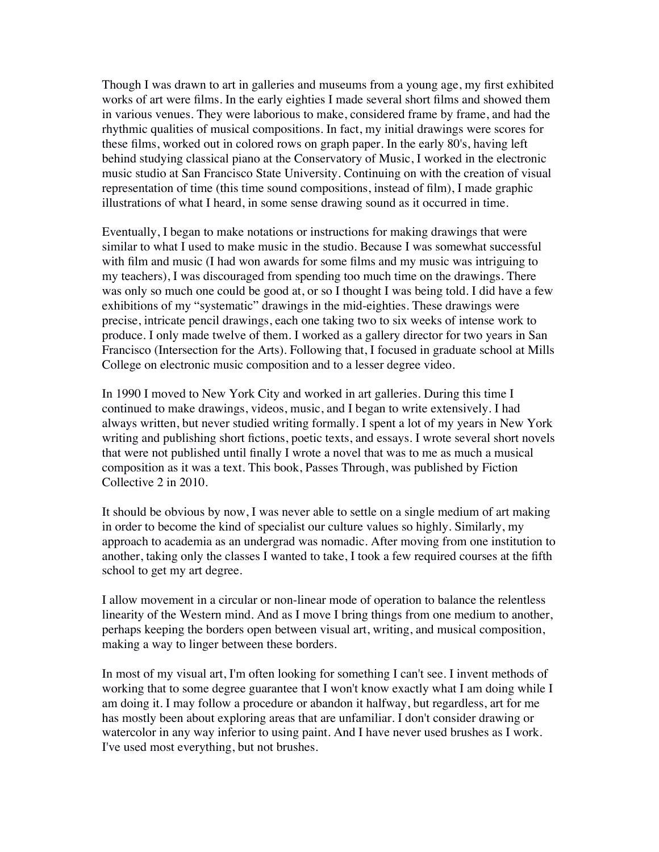Though I was drawn to art in galleries and museums from a young age, my first exhibited works of art were films. In the early eighties I made several short films and showed them in various venues. They were laborious to make, considered frame by frame, and had the rhythmic qualities of musical compositions. In fact, my initial drawings were scores for these films, worked out in colored rows on graph paper. In the early 80's, having left behind studying classical piano at the Conservatory of Music, I worked in the electronic music studio at San Francisco State University. Continuing on with the creation of visual representation of time (this time sound compositions, instead of film), I made graphic illustrations of what I heard, in some sense drawing sound as it occurred in time.

Eventually, I began to make notations or instructions for making drawings that were similar to what I used to make music in the studio. Because I was somewhat successful with film and music (I had won awards for some films and my music was intriguing to my teachers), I was discouraged from spending too much time on the drawings. There was only so much one could be good at, or so I thought I was being told. I did have a few exhibitions of my "systematic" drawings in the mid-eighties. These drawings were precise, intricate pencil drawings, each one taking two to six weeks of intense work to produce. I only made twelve of them. I worked as a gallery director for two years in San Francisco (Intersection for the Arts). Following that, I focused in graduate school at Mills College on electronic music composition and to a lesser degree video.

In 1990 I moved to New York City and worked in art galleries. During this time I continued to make drawings, videos, music, and I began to write extensively. I had always written, but never studied writing formally. I spent a lot of my years in New York writing and publishing short fictions, poetic texts, and essays. I wrote several short novels that were not published until finally I wrote a novel that was to me as much a musical composition as it was a text. This book, Passes Through, was published by Fiction Collective 2 in 2010.

It should be obvious by now, I was never able to settle on a single medium of art making in order to become the kind of specialist our culture values so highly. Similarly, my approach to academia as an undergrad was nomadic. After moving from one institution to another, taking only the classes I wanted to take, I took a few required courses at the fifth school to get my art degree.

I allow movement in a circular or non-linear mode of operation to balance the relentless linearity of the Western mind. And as I move I bring things from one medium to another, perhaps keeping the borders open between visual art, writing, and musical composition, making a way to linger between these borders.

In most of my visual art, I'm often looking for something I can't see. I invent methods of working that to some degree guarantee that I won't know exactly what I am doing while I am doing it. I may follow a procedure or abandon it halfway, but regardless, art for me has mostly been about exploring areas that are unfamiliar. I don't consider drawing or watercolor in any way inferior to using paint. And I have never used brushes as I work. I've used most everything, but not brushes.